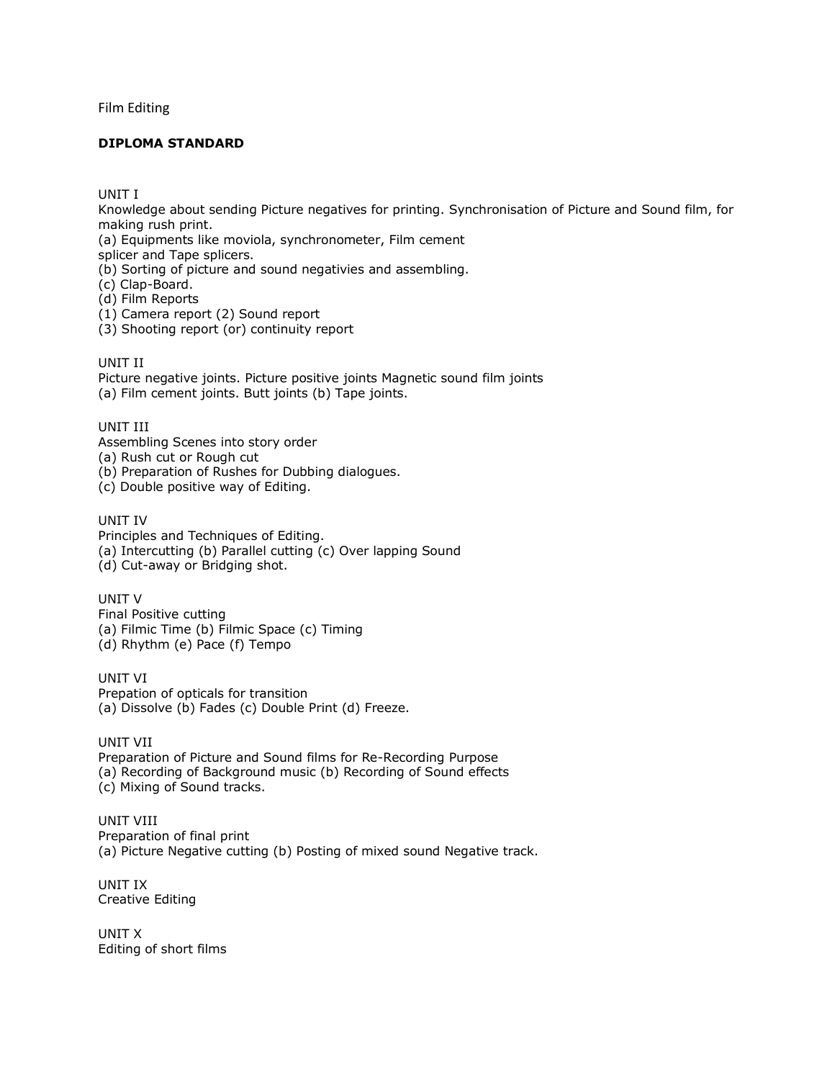Film Editing

## **DIPLOMA STANDARD**

UNIT I

Knowledge about sending Picture negatives for printing. Synchronisation of Picture and Sound film, for making rush print.

(a) Equipments like moviola, synchronometer, Film cement

splicer and Tape splicers.

(b) Sorting of picture and sound negativies and assembling.

(c) Clap-Board.

(d) Film Reports

(1) Camera report (2) Sound report

(3) Shooting report (or) continuity report

UNIT II

Picture negative joints. Picture positive joints Magnetic sound film joints (a) Film cement joints. Butt joints (b) Tape joints.

UNIT III

Assembling Scenes into story order

(a) Rush cut or Rough cut

(b) Preparation of Rushes for Dubbing dialogues.

(c) Double positive way of Editing.

UNIT IV

Principles and Techniques of Editing. (a) Intercutting (b) Parallel cutting (c) Over lapping Sound (d) Cut-away or Bridging shot.

UNIT V Final Positive cutting (a) Filmic Time (b) Filmic Space (c) Timing (d) Rhythm (e) Pace (f) Tempo

UNIT VI Prepation of opticals for transition (a) Dissolve (b) Fades (c) Double Print (d) Freeze.

UNIT VII Preparation of Picture and Sound films for Re-Recording Purpose (a) Recording of Background music (b) Recording of Sound effects (c) Mixing of Sound tracks.

UNIT VIII Preparation of final print (a) Picture Negative cutting (b) Posting of mixed sound Negative track.

UNIT IX Creative Editing

UNIT X Editing of short films